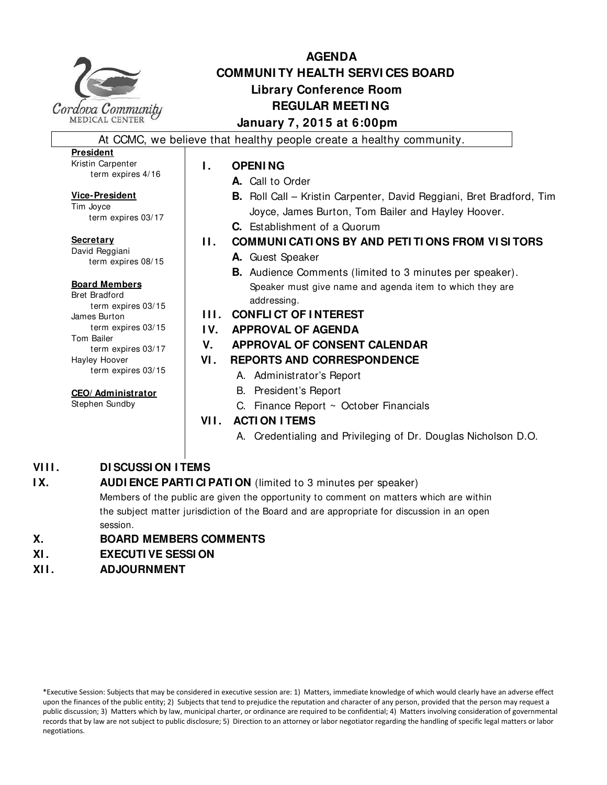

## **AGENDA COMMUNI TY HEALTH SERVI CES BOARD Library Conference Room REGULAR MEETI NG January 7, 2015 at 6:00pm**

At CCMC, we believe that healthy people create a healthy community.

### **President**

Kristin Carpenter term expires 4/16

#### **Vice-President**

Tim Joyce term expires 03/17

**Secretary** David Reggiani term expires 08/15

#### **Board Members**

Bret Bradford term expires 03/15 James Burton term expires 03/15 Tom Bailer term expires 03/17 Hayley Hoover term expires 03/15

### **CEO/ Administrator**

Stephen Sundby

### **I . OPENI NG**

- **A.** Call to Order
- **B.** Roll Call Kristin Carpenter, David Reggiani, Bret Bradford, Tim Joyce, James Burton, Tom Bailer and Hayley Hoover.
- **C.** Establishment of a Quorum
- **I I . COMMUNI CATI ONS BY AND PETI TI ONS FROM VI SI TORS**
	- **A.** Guest Speaker
		- **B.** Audience Comments (limited to 3 minutes per speaker). Speaker must give name and agenda item to which they are addressing.
- **I I I . CONFLI CT OF I NTEREST**
- **I V. APPROVAL OF AGENDA**

### **V. APPROVAL OF CONSENT CALENDAR**

- **VI . REPORTS AND CORRESPONDENCE**
	- A. Administrator's Report
	- B. President's Report
	- C. Finance Report ~ October Financials

### **VII. ACTION ITEMS**

A. Credentialing and Privileging of Dr. Douglas Nicholson D.O.

### **VIII. DI SCUSSI ON I TEMS**

## **IX.** AUDI ENCE PARTI CI PATI ON (limited to 3 minutes per speaker) Members of the public are given the opportunity to comment on matters which are within

the subject matter jurisdiction of the Board and are appropriate for discussion in an open session.

### **X. BOARD MEMBERS COMMENTS**

- **XI . EXECUTI VE SESSI ON**
- **XI I . ADJOURNMENT**

\*Executive Session: Subjects that may be considered in executive session are: 1) Matters, immediate knowledge of which would clearly have an adverse effect upon the finances of the public entity; 2) Subjects that tend to prejudice the reputation and character of any person, provided that the person may request a public discussion; 3) Matters which by law, municipal charter, or ordinance are required to be confidential; 4) Matters involving consideration of governmental records that by law are not subject to public disclosure; 5) Direction to an attorney or labor negotiator regarding the handling of specific legal matters or labor negotiations.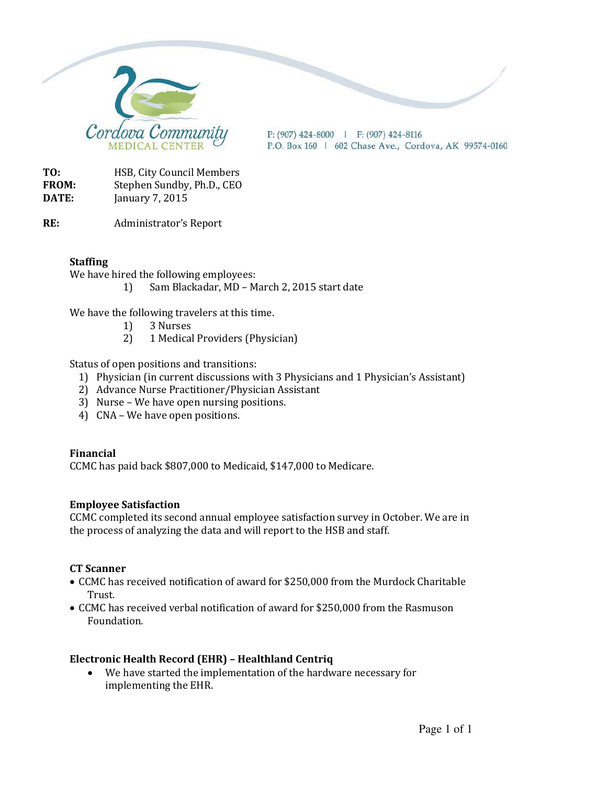

 $P: (907)$  424-8000 | F: (907) 424-8116 P.O. Box 160 | 602 Chase Ave., Cordova, AK 99574-0160

**TO:** HSB, City Council Members **FROM:** Stephen Sundby, Ph.D., CEO **DATE:** January 7, 2015

**RE:** Administrator's Report

### **Staffing**

We have hired the following employees:

1) Sam Blackadar, MD – March 2, 2015 start date

We have the following travelers at this time.

- 1) 3 Nurses
- 2) 1 Medical Providers (Physician)

Status of open positions and transitions:

- 1) Physician (in current discussions with 3 Physicians and 1 Physician's Assistant)
- 2) Advance Nurse Practitioner/Physician Assistant
- 3) Nurse We have open nursing positions.
- 4) CNA We have open positions.

#### **Financial**

CCMC has paid back \$807,000 to Medicaid, \$147,000 to Medicare.

#### **Employee Satisfaction**

CCMC completed its second annual employee satisfaction survey in October. We are in the process of analyzing the data and will report to the HSB and staff.

#### **CT Scanner**

- CCMC has received notification of award for \$250,000 from the Murdock Charitable Trust.
- CCMC has received verbal notification of award for \$250,000 from the Rasmuson Foundation.

#### **Electronic Health Record (EHR) – Healthland Centriq**

• We have started the implementation of the hardware necessary for implementing the EHR.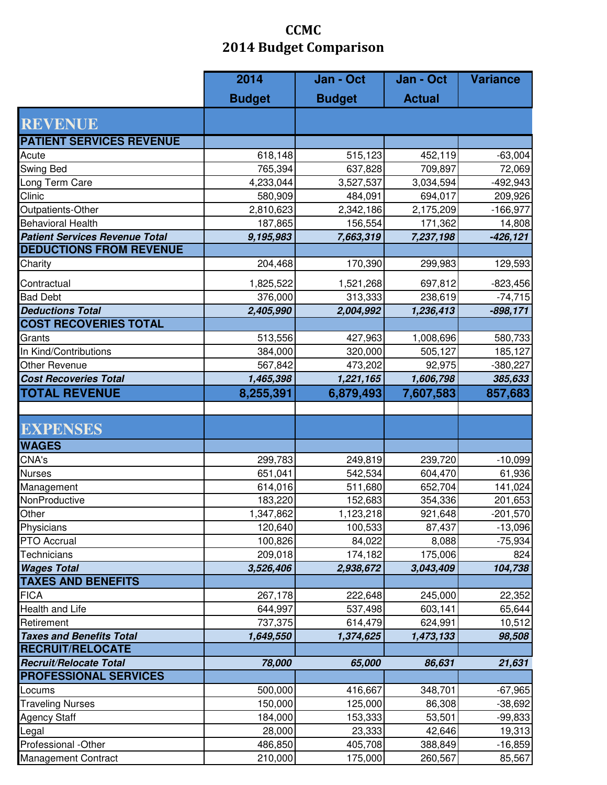# **CCMC 2014 Budget Comparison**

|                                       | 2014          | Jan - Oct     | Jan - Oct     | <b>Variance</b> |
|---------------------------------------|---------------|---------------|---------------|-----------------|
|                                       | <b>Budget</b> | <b>Budget</b> | <b>Actual</b> |                 |
| <b>REVENUE</b>                        |               |               |               |                 |
| <b>PATIENT SERVICES REVENUE</b>       |               |               |               |                 |
| Acute                                 | 618,148       | 515,123       | 452,119       | $-63,004$       |
| Swing Bed                             | 765,394       | 637,828       | 709,897       | 72,069          |
| Long Term Care                        | 4,233,044     | 3,527,537     | 3,034,594     | $-492,943$      |
| Clinic                                | 580,909       | 484,091       | 694,017       | 209,926         |
| Outpatients-Other                     | 2,810,623     | 2,342,186     | 2,175,209     | $-166,977$      |
| <b>Behavioral Health</b>              | 187,865       | 156,554       | 171,362       | 14,808          |
| <b>Patient Services Revenue Total</b> | 9,195,983     | 7,663,319     | 7,237,198     | $-426, 121$     |
| <b>DEDUCTIONS FROM REVENUE</b>        |               |               |               |                 |
| Charity                               | 204,468       | 170,390       | 299,983       | 129,593         |
|                                       |               |               |               |                 |
| Contractual                           | 1,825,522     | 1,521,268     | 697,812       | $-823,456$      |
| <b>Bad Debt</b>                       | 376,000       | 313,333       | 238,619       | $-74,715$       |
| <b>Deductions Total</b>               | 2,405,990     | 2,004,992     | 1,236,413     | $-898,171$      |
| <b>COST RECOVERIES TOTAL</b>          |               |               |               |                 |
| Grants                                | 513,556       | 427,963       | 1,008,696     | 580,733         |
| In Kind/Contributions                 | 384,000       | 320,000       | 505,127       | 185,127         |
| Other Revenue                         | 567,842       | 473,202       | 92,975        | $-380,227$      |
| <b>Cost Recoveries Total</b>          | 1,465,398     | 1,221,165     | 1,606,798     | 385,633         |
| <b>TOTAL REVENUE</b>                  | 8,255,391     | 6,879,493     | 7,607,583     | 857,683         |
|                                       |               |               |               |                 |
| <b>EXPENSES</b>                       |               |               |               |                 |
| <b>WAGES</b>                          |               |               |               |                 |
| CNA's                                 | 299,783       | 249,819       | 239,720       | $-10,099$       |
| <b>Nurses</b>                         | 651,041       | 542,534       | 604,470       | 61,936          |
| Management                            | 614,016       | 511,680       | 652,704       | 141,024         |
| NonProductive                         | 183,220       | 152,683       | 354,336       | 201,653         |
| Other                                 | 1,347,862     | 1,123,218     | 921,648       | $-201,570$      |
| Physicians                            | 120,640       | 100,533       | 87,437        | $-13,096$       |
| <b>PTO Accrual</b>                    | 100,826       | 84,022        | 8,088         | $-75,934$       |
| <b>Technicians</b>                    | 209,018       | 174,182       | 175,006       | 824             |
| <b>Wages Total</b>                    | 3,526,406     | 2,938,672     | 3,043,409     | 104,738         |
| <b>TAXES AND BENEFITS</b>             |               |               |               |                 |
| <b>FICA</b>                           | 267,178       | 222,648       | 245,000       | 22,352          |
| Health and Life                       | 644,997       | 537,498       | 603,141       | 65,644          |
| Retirement                            | 737,375       | 614,479       | 624,991       | 10,512          |
| <b>Taxes and Benefits Total</b>       | 1,649,550     | 1,374,625     | 1,473,133     | 98,508          |
| <b>RECRUIT/RELOCATE</b>               |               |               |               |                 |
| <b>Recruit/Relocate Total</b>         | 78,000        | 65,000        | 86,631        | 21,631          |
| <b>PROFESSIONAL SERVICES</b>          |               |               |               |                 |
| Locums                                | 500,000       | 416,667       | 348,701       | $-67,965$       |
| <b>Traveling Nurses</b>               | 150,000       | 125,000       | 86,308        | $-38,692$       |
| <b>Agency Staff</b>                   | 184,000       | 153,333       | 53,501        | $-99,833$       |
| Legal                                 | 28,000        | 23,333        | 42,646        | 19,313          |
| Professional -Other                   | 486,850       | 405,708       | 388,849       | $-16,859$       |
| Management Contract                   | 210,000       | 175,000       | 260,567       | 85,567          |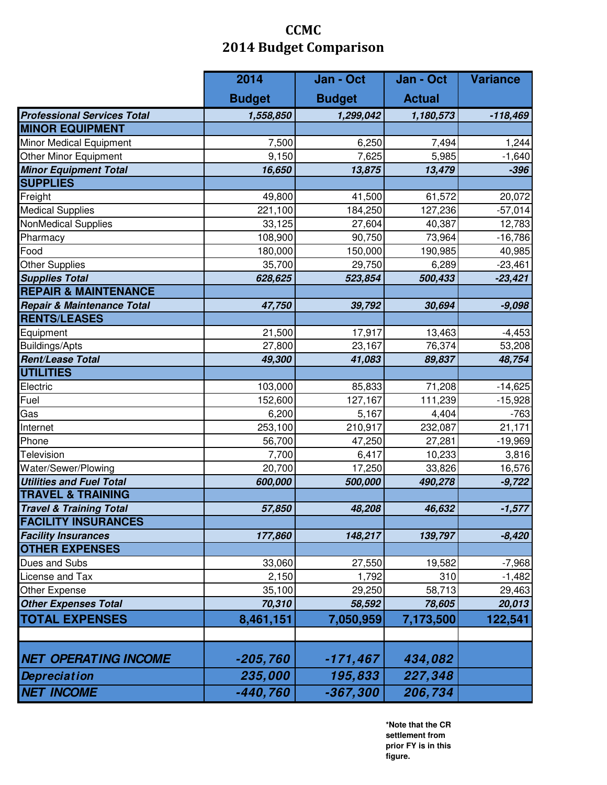# **CCMC 2014 Budget Comparison**

|                                    | 2014          | Jan - Oct     | Jan - Oct     | <b>Variance</b> |
|------------------------------------|---------------|---------------|---------------|-----------------|
|                                    | <b>Budget</b> | <b>Budget</b> | <b>Actual</b> |                 |
| <b>Professional Services Total</b> | 1,558,850     | 1,299,042     | 1,180,573     | $-118,469$      |
| <b>MINOR EQUIPMENT</b>             |               |               |               |                 |
| Minor Medical Equipment            | 7,500         | 6,250         | 7,494         | 1,244           |
| Other Minor Equipment              | 9,150         | 7,625         | 5,985         | $-1,640$        |
| <b>Minor Equipment Total</b>       | 16,650        | 13,875        | 13,479        | $-396$          |
| <b>SUPPLIES</b>                    |               |               |               |                 |
| Freight                            | 49,800        | 41,500        | 61,572        | 20,072          |
| <b>Medical Supplies</b>            | 221,100       | 184,250       | 127,236       | $-57,014$       |
| <b>NonMedical Supplies</b>         | 33,125        | 27,604        | 40,387        | 12,783          |
| Pharmacy                           | 108,900       | 90,750        | 73,964        | $-16,786$       |
| Food                               | 180,000       | 150,000       | 190,985       | 40,985          |
| <b>Other Supplies</b>              | 35,700        | 29,750        | 6,289         | $-23,461$       |
| <b>Supplies Total</b>              | 628,625       | 523,854       | 500,433       | $-23,421$       |
| <b>REPAIR &amp; MAINTENANCE</b>    |               |               |               |                 |
| Repair & Maintenance Total         | 47,750        | 39,792        | 30,694        | $-9,098$        |
| <b>RENTS/LEASES</b>                |               |               |               |                 |
| Equipment                          | 21,500        | 17,917        | 13,463        | $-4,453$        |
| <b>Buildings/Apts</b>              | 27,800        | 23,167        | 76,374        | 53,208          |
| Rent/Lease Total                   | 49,300        | 41,083        | 89,837        | 48,754          |
| <b>UTILITIES</b>                   |               |               |               |                 |
| Electric                           | 103,000       | 85,833        | 71,208        | $-14,625$       |
| Fuel                               | 152,600       | 127,167       | 111,239       | $-15,928$       |
| Gas                                | 6,200         | 5,167         | 4,404         | $-763$          |
| Internet                           | 253,100       | 210,917       | 232,087       | 21,171          |
| Phone                              | 56,700        | 47,250        | 27,281        | $-19,969$       |
| <b>Television</b>                  | 7,700         | 6,417         | 10,233        | 3,816           |
| Water/Sewer/Plowing                | 20,700        | 17,250        | 33,826        | 16,576          |
| <b>Utilities and Fuel Total</b>    | 600,000       | 500,000       | 490,278       | $-9,722$        |
| <b>TRAVEL &amp; TRAINING</b>       |               |               |               |                 |
| <b>Travel &amp; Training Total</b> | 57,850        | 48,208        | 46,632        | $-1,577$        |
| <b>FACILITY INSURANCES</b>         |               |               |               |                 |
| <b>Facility Insurances</b>         | 177,860       | 148,217       | 139,797       | $-8,420$        |
| <b>OTHER EXPENSES</b>              |               |               |               |                 |
| Dues and Subs                      | 33,060        | 27,550        | 19,582        | $-7,968$        |
| License and Tax                    | 2,150         | 1,792         | 310           | $-1,482$        |
| Other Expense                      | 35,100        | 29,250        | 58,713        | 29,463          |
| <b>Other Expenses Total</b>        | 70,310        | 58,592        | 78,605        | 20,013          |
| <b>TOTAL EXPENSES</b>              | 8,461,151     | 7,050,959     | 7,173,500     | 122,541         |
|                                    |               |               |               |                 |
| <b>NET OPERATING INCOME</b>        | $-205,760$    | $-171,467$    | 434,082       |                 |
| <b>Depreciation</b>                | 235,000       | 195,833       | 227,348       |                 |
| <b>NET INCOME</b>                  | $-440,760$    | $-367,300$    | 206,734       |                 |

**\*Note that the CR settlement from prior FY is in this figure.**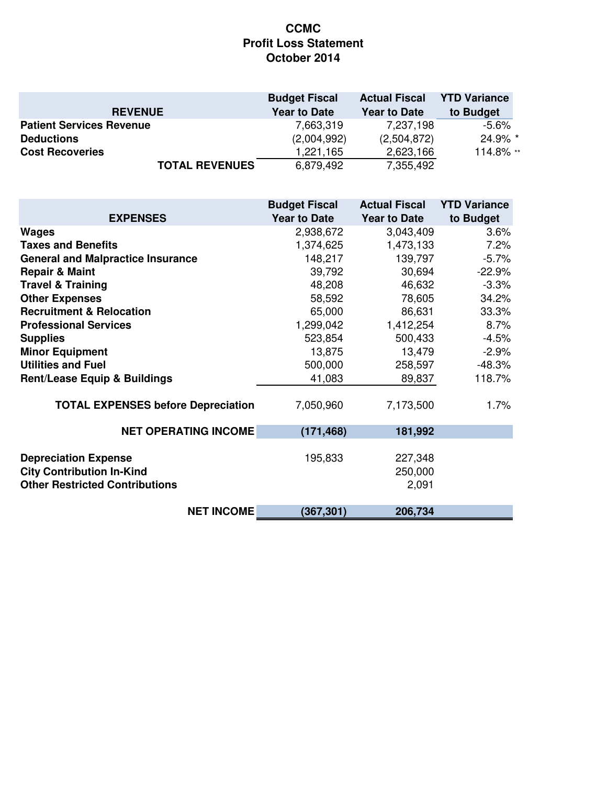### **CCMC Profit Loss Statement October 2014**

|                                 | <b>Budget Fiscal</b> | <b>Actual Fiscal</b> | <b>YTD Variance</b> |
|---------------------------------|----------------------|----------------------|---------------------|
| <b>REVENUE</b>                  | <b>Year to Date</b>  | <b>Year to Date</b>  | to Budget           |
| <b>Patient Services Revenue</b> | 7,663,319            | 7,237,198            | -5.6%               |
| <b>Deductions</b>               | (2,004,992)          | (2,504,872)          | 24.9% *             |
| <b>Cost Recoveries</b>          | 1,221,165            | 2,623,166            | 114.8% **           |
| <b>TOTAL REVENUES</b>           | 6,879,492            | 7,355,492            |                     |

|                                                                                                          | <b>Budget Fiscal</b> | <b>Actual Fiscal</b>        | <b>YTD Variance</b> |
|----------------------------------------------------------------------------------------------------------|----------------------|-----------------------------|---------------------|
| <b>EXPENSES</b>                                                                                          | <b>Year to Date</b>  | <b>Year to Date</b>         | to Budget           |
| <b>Wages</b>                                                                                             | 2,938,672            | 3,043,409                   | 3.6%                |
| <b>Taxes and Benefits</b>                                                                                | 1,374,625            | 1,473,133                   | 7.2%                |
| <b>General and Malpractice Insurance</b>                                                                 | 148,217              | 139,797                     | $-5.7%$             |
| <b>Repair &amp; Maint</b>                                                                                | 39,792               | 30,694                      | $-22.9%$            |
| <b>Travel &amp; Training</b>                                                                             | 48,208               | 46,632                      | $-3.3%$             |
| <b>Other Expenses</b>                                                                                    | 58,592               | 78,605                      | 34.2%               |
| <b>Recruitment &amp; Relocation</b>                                                                      | 65,000               | 86,631                      | 33.3%               |
| <b>Professional Services</b>                                                                             | 1,299,042            | 1,412,254                   | 8.7%                |
| <b>Supplies</b>                                                                                          | 523,854              | 500,433                     | $-4.5%$             |
| <b>Minor Equipment</b>                                                                                   | 13,875               | 13,479                      | $-2.9%$             |
| <b>Utilities and Fuel</b>                                                                                | 500,000              | 258,597                     | $-48.3%$            |
| <b>Rent/Lease Equip &amp; Buildings</b>                                                                  | 41,083               | 89,837                      | 118.7%              |
| <b>TOTAL EXPENSES before Depreciation</b>                                                                | 7,050,960            | 7,173,500                   | 1.7%                |
| <b>NET OPERATING INCOME</b>                                                                              | (171, 468)           | 181,992                     |                     |
| <b>Depreciation Expense</b><br><b>City Contribution In-Kind</b><br><b>Other Restricted Contributions</b> | 195,833              | 227,348<br>250,000<br>2,091 |                     |
| <b>NET INCOME</b>                                                                                        | (367, 301)           | 206,734                     |                     |